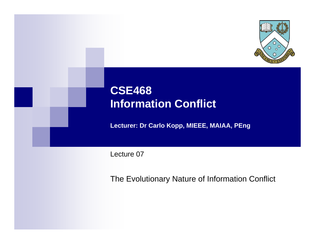

# **CSE468 Information Conflict**

**Lecturer: Dr Carlo Kopp, MIEEE, MAIAA, PEng**

Lecture 07

The Evolutionary Nature of Information Conflict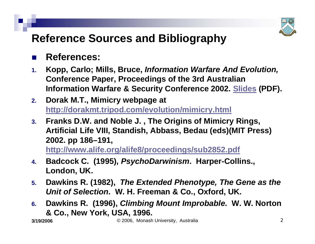

# **Reference Sources and Bibliography**

#### $\mathbb{R}^3$ **References:**

- **1. Kopp, Carlo; Mills, Bruce,** *Information Warfare And Evolution,*  **Conference Paper, Proceedings of the 3rd Australian Information Warfare & Security Conference 2002. [Slides](http://www.csse.monash.edu.au/%7Ecarlo/archive/PAPERS/_JIW-2002-2-CK-BIM-S.pdf) (PDF).**
- **2. Dorak M.T., Mimicry webpage at <http://dorakmt.tripod.com/evolution/mimicry.html>**
- **3. Franks D.W. and Noble J. , The Origins of Mimicry Rings, Artificial Life VIII, Standish, Abbass, Bedau (eds)(MIT Press) 2002. pp 186–191,**

**<http://www.alife.org/alife8/proceedings/sub2852.pdf>**

- **4. Badcock C. (1995),** *PsychoDarwinism***. Harper-Collins., London, UK.**
- **5. Dawkins R. (1982),** *The Extended Phenotype, The Gene as the Unit of Selection***. W. H. Freeman & Co., Oxford, UK.**
- **6. Dawkins R. (1996),** *Climbing Mount Improbable***. W. W. Norton & Co., New York, USA, 1996.**

**3/19/2006**

© 2006, Monash University, Australia 2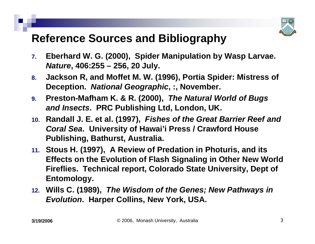

## **Reference Sources and Bibliography**

- **7. Eberhard W. G. (2000), Spider Manipulation by Wasp Larvae.**  *Nature***, 406:255 – 256, 20 July.**
- **8. Jackson R, and Moffet M. W. (1996), Portia Spider: Mistress of Deception.** *National Geographic***, :, November.**
- **9. Preston-Mafham K. & R. (2000),** *The Natural World of Bugs and Insects***. PRC Publishing Ltd, London, UK.**
- **10. Randall J. E. et al. (1997),** *Fishes of the Great Barrier Reef and Coral Sea***. University of Hawai'i Press / Crawford House Publishing, Bathurst, Australia.**
- **11. Stous H. (1997), A Review of Predation in Photuris, and its Effects on the Evolution of Flash Signaling in Other New World Fireflies. Technical report, Colorado State University, Dept of Entomology.**
- **12. Wills C. (1989),** *The Wisdom of the Genes; New Pathways in Evolution***. Harper Collins, New York, USA.**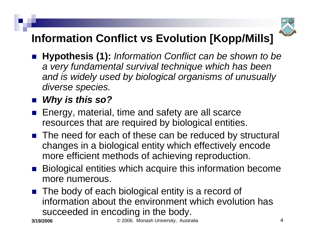

# **Information Conflict vs Evolution [Kopp/Mills]**

- **Hypothesis (1):** *Information Conflict can be shown to be a very fundamental survival technique which has been and is widely used by biological organisms of unusually diverse species.*
- *Why is this so?*
- Energy, material, time and safety are all scarce resources that are required by biological entities.
- The need for each of these can be reduced by structural changes in a biological entity which effectively encode more efficient methods of achieving reproduction.
- Biological entities which acquire this information become more numerous.
- The body of each biological entity is a record of information about the environment which evolution has succeeded in encoding in the body.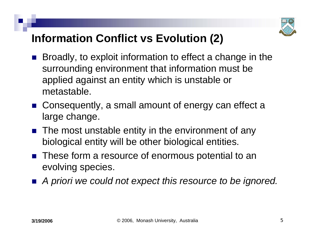

# **Information Conflict vs Evolution (2)**

- $\mathbb{R}^3$  Broadly, to exploit information to effect a change in the surrounding environment that information must be applied against an entity which is unstable or metastable.
- Consequently, a small amount of energy can effect a large change.
- **The most unstable entity in the environment of any** biological entity will be other biological entities.
- These form a resource of enormous potential to an evolving species.
- A priori we could not expect this resource to be ignored.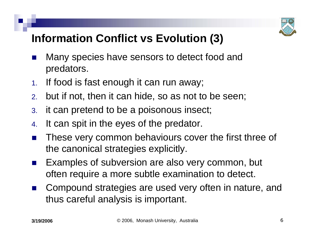

# **Information Conflict vs Evolution (3)**

- $\mathbb{R}^3$  Many species have sensors to detect food and predators.
- 1.If food is fast enough it can run away;
- 2.but if not, then it can hide, so as not to be seen;
- 3. it can pretend to be a poisonous insect;
- 4.It can spit in the eyes of the predator.
- $\mathbb{R}^3$  These very common behaviours cover the first three of the canonical strategies explicitly.
- $\mathbb{R}^3$  Examples of subversion are also very common, but often require a more subtle examination to detect.
- $\mathbb{R}^2$  Compound strategies are used very often in nature, and thus careful analysis is important.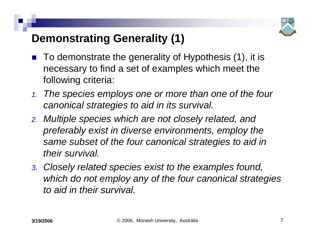

## **Demonstrating Generality (1)**

- $\mathbb{R}^3$  To demonstrate the generality of Hypothesis (1), it is necessary to find a set of examples which meet the following criteria:
- *1. The species employs one or more than one of the four canonical strategies to aid in its survival.*
- *2. Multiple species which are not closely related, and preferably exist in diverse environments, employ the same subset of the four canonical strategies to aid in their survival.*
- *3. Closely related species exist to the examples found, which do not employ any of the four canonical strategies to aid in their survival.*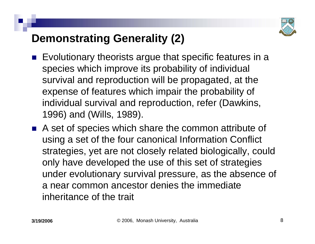

# **Demonstrating Generality (2)**

- $\mathbb{R}^3$  Evolutionary theorists argue that specific features in a species which improve its probability of individual survival and reproduction will be propagated, at the expense of features which impair the probability of individual survival and reproduction, refer (Dawkins, 1996) and (Wills, 1989).
- A set of species which share the common attribute of using a set of the four canonical Information Conflict strategies, yet are not closely related biologically, could only have developed the use of this set of strategies under evolutionary survival pressure, as the absence of a near common ancestor denies the immediate inheritance of the trait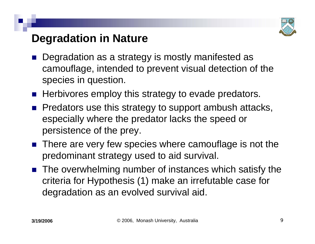

## **Degradation in Nature**

- $\mathbb{R}^3$  Degradation as a strategy is mostly manifested as camouflage, intended to prevent visual detection of the species in question.
- **Herbivores employ this strategy to evade predators.**
- **Predators use this strategy to support ambush attacks,** especially where the predator lacks the speed or persistence of the prey.
- There are very few species where camouflage is not the predominant strategy used to aid survival.
- The overwhelming number of instances which satisfy the criteria for Hypothesis (1) make an irrefutable case for degradation as an evolved survival aid.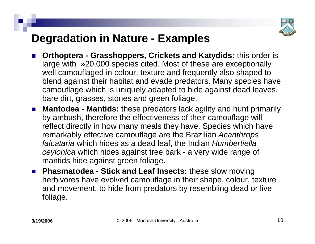

## **Degradation in Nature - Examples**

- F. **Orthoptera - Grasshoppers, Crickets and Katydids:** this order is large with »20,000 species cited. Most of these are exceptionally well camouflaged in colour, texture and frequently also shaped to blend against their habitat and evade predators. Many species have camouflage which is uniquely adapted to hide against dead leaves, bare dirt, grasses, stones and green foliage.
- **Mantodea - Mantids:** these predators lack agility and hunt primarily by ambush, therefore the effectiveness of their camouflage will reflect directly in how many meals they have. Species which have remarkably effective camouflage are the Brazilian *Acanthrops falcataria* which hides as a dead leaf, the Indian *Humbertiella ceylonica* which hides against tree bark - a very wide range of mantids hide against green foliage.
- **Phasmatodea - Stick and Leaf Insects:** these slow moving herbivores have evolved camouflage in their shape, colour, texture and movement, to hide from predators by resembling dead or live foliage.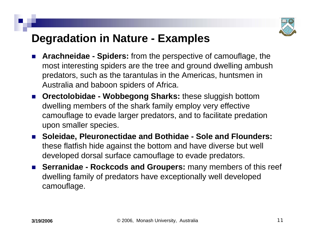

## **Degradation in Nature - Examples**

- H. **Arachneidae - Spiders:** from the perspective of camouflage, the most interesting spiders are the tree and ground dwelling ambush predators, such as the tarantulas in the Americas, huntsmen in Australia and baboon spiders of Africa.
- $\mathcal{L}^{\text{max}}_{\text{max}}$  **Orectolobidae - Wobbegong Sharks:** these sluggish bottom dwelling members of the shark family employ very effective camouflage to evade larger predators, and to facilitate predation upon smaller species.
- $\mathcal{L}^{\text{max}}_{\text{max}}$  **Soleidae, Pleuronectidae and Bothidae - Sole and Flounders:** these flatfish hide against the bottom and have diverse but well developed dorsal surface camouflage to evade predators.
- **Serranidae - Rockcods and Groupers:** many members of this reef dwelling family of predators have exceptionally well developed camouflage.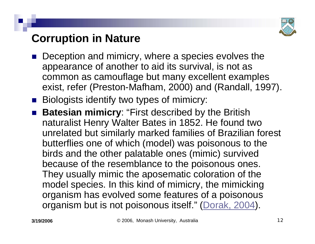

# **Corruption in Nature**

- $\mathbb{R}^3$  Deception and mimicry, where a species evolves the appearance of another to aid its survival, is not as common as camouflage but many excellent examples exist, refer (Preston-Mafham, 2000) and (Randall, 1997).
- **Biologists identify two types of mimicry:**
- **Batesian mimicry**: "First described by the British naturalist Henry Walter Bates in 1852. He found two unrelated but similarly marked families of Brazilian forest butterflies one of which (model) was poisonous to the birds and the other palatable ones (mimic) survived because of the resemblance to the poisonous ones. They usually mimic the aposematic coloration of the model species. In this kind of mimicry, the mimicking organism has evolved some features of a poisonous organism but is not poisonous itself." ([Dorak, 2004](http://dorakmt.tripod.com/evolution/mimicry.html)).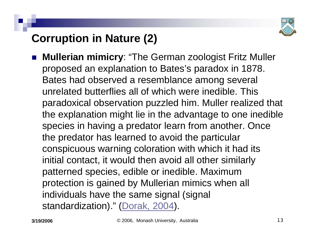

# **Corruption in Nature (2)**

 $\mathbb{R}^3$  **Mullerian mimicry**: "The German zoologist Fritz Muller proposed an explanation to Bates's paradox in 1878. Bates had observed a resemblance among several unrelated butterflies all of which were inedible. This paradoxical observation puzzled him. Muller realized that the explanation might lie in the advantage to one inedible species in having a predator learn from another. Once the predator has learned to avoid the particular conspicuous warning coloration with which it had its initial contact, it would then avoid all other similarly patterned species, edible or inedible. Maximum protection is gained by Mullerian mimics when all individuals have the same signal (signal standardization)." ([Dorak, 2004](http://dorakmt.tripod.com/evolution/mimicry.html)).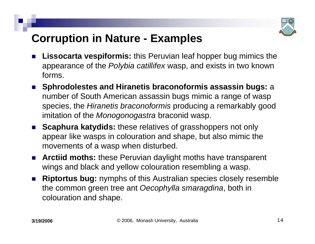

## **Corruption in Nature - Examples**

- H. **Lissocarta vespiformis:** this Peruvian leaf hopper bug mimics the appearance of the *Polybia catillifex* wasp, and exists in two known forms.
- **Sphrodolestes and Hiranetis braconoformis assassin bugs:** <sup>a</sup> number of South American assassin bugs mimic a range of wasp species, the *Hiranetis braconoformis* producing a remarkably good imitation of the *Monogonogastra* braconid wasp.
- **Scaphura katydids:** these relatives of grasshoppers not only appear like wasps in colouration and shape, but also mimic the movements of a wasp when disturbed.
- F. **Arctiid moths:** these Peruvian daylight moths have transparent wings and black and yellow colouration resembling a wasp.
- **Riptortus bug:** nymphs of this Australian species closely resemble the common green tree ant *Oecophylla smaragdina*, both in colouration and shape.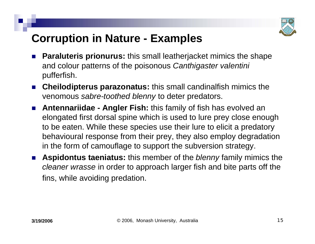

## **Corruption in Nature - Examples**

- H. **Paraluteris prionurus:** this small leatherjacket mimics the shape and colour patterns of the poisonous *Canthigaster valentini* pufferfish.
- F. **Cheilodipterus parazonatus:** this small candinalfish mimics the venomous *sabre-toothed blenny* to deter predators.
- $\mathcal{L}_{\rm{max}}$  **Antennariidae - Angler Fish:** this family of fish has evolved an elongated first dorsal spine which is used to lure prey close enough to be eaten. While these species use their lure to elicit a predatory behavioural response from their prey, they also employ degradation in the form of camouflage to support the subversion strategy.
- F. **Aspidontus taeniatus:** this member of the *blenny* family mimics the *cleaner wrasse* in order to approach larger fish and bite parts off the fins, while avoiding predation.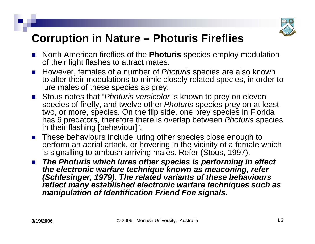

## **Corruption in Nature – Photuris Fireflies**

- F. North American fireflies of the **Photuris** species employ modulation of their light flashes to attract mates.
- However, females of a number of *Photuris* species are also known to alter their modulations to mimic closely related species, in order to lure males of these species as prey.
- Stous notes that "*Photuris versicolor* is known to prey on eleven species of firefly, and twelve other *Photuris* species prey on at least two, or more, species. On the flip side, one prey species in Florida has 6 predators, therefore there is overlap between *Photuris* species in their flashing [behaviour]".
- F. ■ These behaviours include luring other species close enough to perform an aerial attack, or hovering in the vicinity of a female which is signalling to ambush arriving males. Refer (Stous, 1997).
- $\mathcal{L}^{\text{max}}_{\text{max}}$  *The Photuris which lures other species is performing in effect the electronic warfare technique known as meaconing, refer (Schlesinger, 1979). The related variants of these behaviours reflect many established electronic warfare techniques such as manipulation of Identification Friend Foe signals.*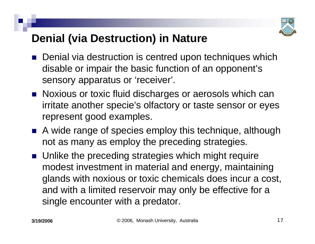

# **Denial (via Destruction) in Nature**

- $\mathbb{R}^3$  Denial via destruction is centred upon techniques which disable or impair the basic function of an opponent's sensory apparatus or 'receiver'.
- Noxious or toxic fluid discharges or aerosols which can irritate another specie's olfactory or taste sensor or eyes represent good examples.
- A wide range of species employ this technique, although not as many as employ the preceding strategies.
- **Unlike the preceding strategies which might require** modest investment in material and energy, maintaining glands with noxious or toxic chemicals does incur a cost, and with a limited reservoir may only be effective for a single encounter with a predator.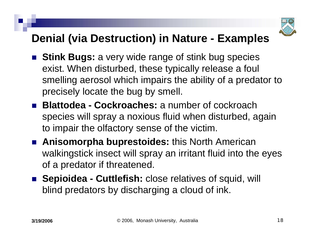

## **Denial (via Destruction) in Nature - Examples**

- **Stink Bugs:** a very wide range of stink bug species exist. When disturbed, these typically release a foul smelling aerosol which impairs the ability of a predator to precisely locate the bug by smell.
- **Blattodea - Cockroaches:** a number of cockroach species will spray a noxious fluid when disturbed, again to impair the olfactory sense of the victim.
- **Anisomorpha buprestoides:** this North American walkingstick insect will spray an irritant fluid into the eyes of a predator if threatened.
- **Sepioidea Cuttlefish:** close relatives of squid, will blind predators by discharging a cloud of ink.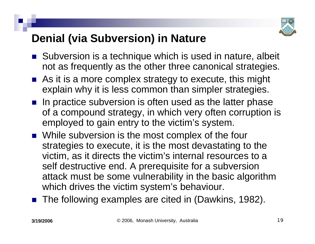

# **Denial (via Subversion) in Nature**

- Subversion is a technique which is used in nature, albeit not as frequently as the other three canonical strategies.
- As it is a more complex strategy to execute, this might explain why it is less common than simpler strategies.
- $\blacksquare$  In practice subversion is often used as the latter phase of a compound strategy, in which very often corruption is employed to gain entry to the victim's system.
- While subversion is the most complex of the four strategies to execute, it is the most devastating to the victim, as it directs the victim's internal resources to a self destructive end. A prerequisite for a subversion attack must be some vulnerability in the basic algorithm which drives the victim system's behaviour.
- The following examples are cited in (Dawkins, 1982).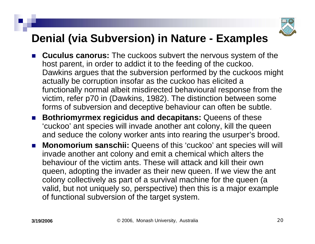

# **Denial (via Subversion) in Nature - Examples**

- **Cuculus canorus:** The cuckoos subvert the nervous system of the host parent, in order to addict it to the feeding of the cuckoo. Dawkins argues that the subversion performed by the cuckoos might actually be corruption insofar as the cuckoo has elicited a functionally normal albeit misdirected behavioural response from the victim, refer p70 in (Dawkins, 1982). The distinction between some forms of subversion and deceptive behaviour can often be subtle.
- **Bothriomyrmex regicidus and decapitans:** Queens of these 'cuckoo' ant species will invade another ant colony, kill the queen and seduce the colony worker ants into rearing the usurper's brood.
- $\mathcal{L}_{\text{max}}$  **Monomorium sanschii:** Queens of this 'cuckoo' ant species will will invade another ant colony and emit a chemical which alters the behaviour of the victim ants. These will attack and kill their own queen, adopting the invader as their new queen. If we view the ant colony collectively as part of a survival machine for the queen (a valid, but not uniquely so, perspective) then this is a major example of functional subversion of the target system.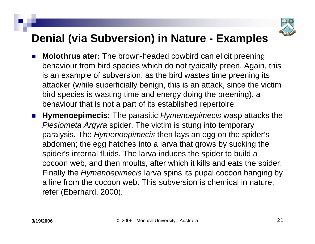

# **Denial (via Subversion) in Nature - Examples**

- H. **Molothrus ater:** The brown-headed cowbird can elicit preening behaviour from bird species which do not typically preen. Again, this is an example of subversion, as the bird wastes time preening its attacker (while superficially benign, this is an attack, since the victim bird species is wasting time and energy doing the preening), a behaviour that is not a part of its established repertoire.
- **Hymenoepimecis:** The parasitic *Hymenoepimecis* wasp attacks the *Plesiometa Argyra* spider. The victim is stung into temporary paralysis. The *Hymenoepimecis* then lays an egg on the spider's abdomen; the egg hatches into a larva that grows by sucking the spider's internal fluids. The larva induces the spider to build a cocoon web, and then moults, after which it kills and eats the spider. Finally the *Hymenoepimecis* larva spins its pupal cocoon hanging by a line from the cocoon web. This subversion is chemical in nature, refer (Eberhard, 2000).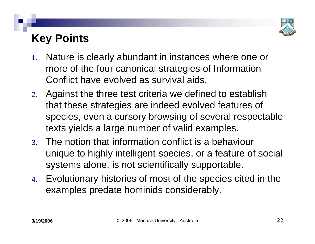

# **Key Points**

- 1. Nature is clearly abundant in instances where one or more of the four canonical strategies of Information Conflict have evolved as survival aids.
- 2. Against the three test criteria we defined to establish that these strategies are indeed evolved features of species, even a cursory browsing of several respectable texts yields a large number of valid examples.
- 3. The notion that information conflict is a behaviour unique to highly intelligent species, or a feature of social systems alone, is not scientifically supportable.
- 4. Evolutionary histories of most of the species cited in the examples predate hominids considerably.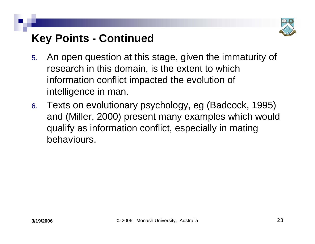

# **Key Points - Continued**

- 5. An open question at this stage, given the immaturity of research in this domain, is the extent to which information conflict impacted the evolution of intelligence in man.
- 6. Texts on evolutionary psychology, eg (Badcock, 1995) and (Miller, 2000) present many examples which would qualify as information conflict, especially in mating behaviours.